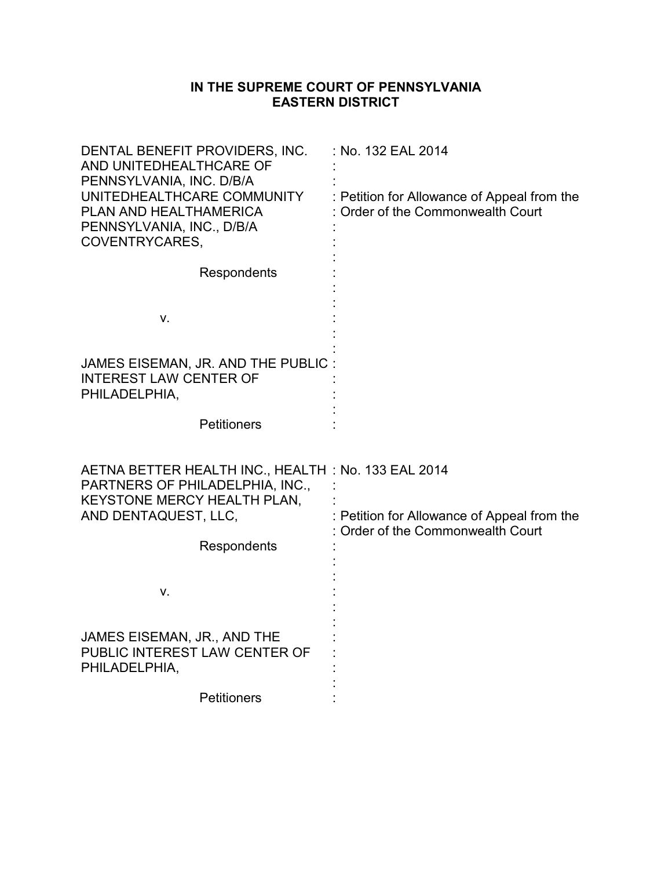## **IN THE SUPREME COURT OF PENNSYLVANIA EASTERN DISTRICT**

| DENTAL BENEFIT PROVIDERS, INC.<br>AND UNITEDHEALTHCARE OF<br>PENNSYLVANIA, INC. D/B/A                                 | : No. 132 EAL 2014                                                               |
|-----------------------------------------------------------------------------------------------------------------------|----------------------------------------------------------------------------------|
| UNITEDHEALTHCARE COMMUNITY<br>PLAN AND HEALTHAMERICA<br>PENNSYLVANIA, INC., D/B/A<br>COVENTRYCARES,                   | : Petition for Allowance of Appeal from the<br>: Order of the Commonwealth Court |
| Respondents                                                                                                           |                                                                                  |
| v.                                                                                                                    |                                                                                  |
| JAMES EISEMAN, JR. AND THE PUBLIC<br><b>INTEREST LAW CENTER OF</b><br>PHILADELPHIA,                                   |                                                                                  |
| <b>Petitioners</b>                                                                                                    |                                                                                  |
| AETNA BETTER HEALTH INC., HEALTH : No. 133 EAL 2014<br>PARTNERS OF PHILADELPHIA, INC.,<br>KEYSTONE MERCY HEALTH PLAN, |                                                                                  |
| AND DENTAQUEST, LLC,<br>Respondents                                                                                   | Petition for Allowance of Appeal from the<br>Order of the Commonwealth Court     |
|                                                                                                                       |                                                                                  |
| V.                                                                                                                    |                                                                                  |
| JAMES EISEMAN, JR., AND THE<br>PUBLIC INTEREST LAW CENTER OF<br>PHILADELPHIA,                                         |                                                                                  |
| Petitioners                                                                                                           |                                                                                  |